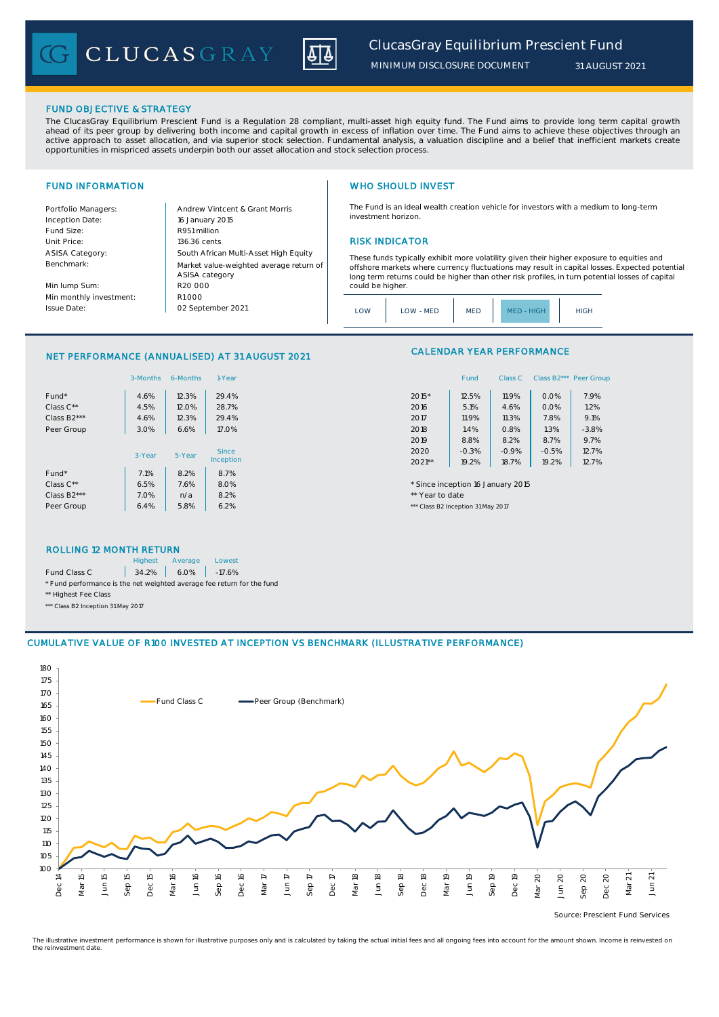CLUCASGRAY



### FUND OBJECTIVE & STRATEGY

The ClucasGray Equilibrium Prescient Fund is a Regulation 28 compliant, multi-asset high equity fund. The Fund aims to provide long term capital growth ahead of its peer group by delivering both income and capital growth in excess of inflation over time. The Fund aims to achieve these objectives through an<br>active approach to asset allocation, and via superior stock select opportunities in mispriced assets underpin both our asset allocation and stock selection process.

Inception Date: Fund Size: R951 million ASISA Category: Benchmark:

Min lump Sum: Min monthly investment: Issue Date:

Portfolio Managers: <br>Andrew Vintcent & Grant Morris Unit Price: 136.36 cents RISK INDICATOR South African Multi-Asset High Equity 16 January 2015 R20 000 Market value-weighted average return of ASISA category 02 September 2021  $R1000$ 

### FUND INFORMATION **WHO SHOULD INVEST**

The Fund is an ideal wealth creation vehicle for investors with a medium to long-term investment horizon.

These funds typically exhibit more volatility given their higher exposure to equities and offshore markets where currency fluctuations may result in capital losses. Expected potential long term returns could be higher than other risk profiles, in turn potential losses of capital could be higher

| HIGH<br>LOW - MED<br>.OW<br><b>MED</b><br><b>HIGH</b><br>MFD - |
|----------------------------------------------------------------|
|----------------------------------------------------------------|

### NET PERFORMANCE (ANNUALISED) AT 31 AUGUST 2021

|                          | 3-Months | 6-Months  | 1-Year       |         | Fund                               | Class C | Class B2*** Peer Gro |         |  |
|--------------------------|----------|-----------|--------------|---------|------------------------------------|---------|----------------------|---------|--|
| Fund*                    | 4.6%     | 12.3%     | 29.4%        | $2015*$ | 12.5%                              | 11.9%   | 0.0%                 | 7.9%    |  |
| Class $C^{\star\star}$   | 4.5%     | 12.0%     | 28.7%        | 2016    | 5.1%                               | 4.6%    | 0.0%                 | 1.2%    |  |
| Class B <sub>2</sub> *** | 4.6%     | 12.3%     | 29.4%        | 2017    | 11.9%                              | 11.3%   | 7.8%                 | 9.1%    |  |
| Peer Group               | 3.0%     | 6.6%      | 17.0%        | 2018    | 1.4%                               | 0.8%    | 1.3%                 | $-3.8%$ |  |
|                          |          |           |              | 2019    | 8.8%                               | 8.2%    | 8.7%                 | 9.7%    |  |
|                          | 3-Year   | 5-Year    | <b>Since</b> | 2020    | $-0.3%$                            | $-0.9%$ | $-0.5%$              | 12.7%   |  |
|                          |          | Inception | $2021**$     | 19.2%   | 18.7%                              | 19.2%   | 12.7%                |         |  |
| Fund*                    | 7.1%     | 8.2%      | 8.7%         |         |                                    |         |                      |         |  |
| Class C**                | 6.5%     | 7.6%      | 8.0%         |         | * Since inception 16 January 2015  |         |                      |         |  |
| Class B <sub>2</sub> *** | 7.0%     | n/a       | 8.2%         |         | ** Year to date                    |         |                      |         |  |
| Peer Group               | 6.4%     | 5.8%      | 6.2%         |         | *** Class B2 Inception 31 May 2017 |         |                      |         |  |

### CALENDAR YEAR PERFORMANCE

| 1-Year  |          | Fund    | Class C | Class B <sub>2</sub> *** | Peer Group |
|---------|----------|---------|---------|--------------------------|------------|
| 29.4%   | 2015*    | 12.5%   | 11.9%   | 0.0%                     | 7.9%       |
| 28.7%   | 2016     | 5.1%    | 4.6%    | 0.0%                     | 1.2%       |
| 29.4%   | 2017     | 11.9%   | 11.3%   | 7.8%                     | 9.1%       |
| 17.0%   | 2018     | 1.4%    | 0.8%    | 1.3%                     | $-3.8%$    |
|         | 2019     | 8.8%    | 8.2%    | 8.7%                     | 9.7%       |
| Since   | 2020     | $-0.3%$ | $-0.9%$ | $-0.5%$                  | 12.7%      |
| ception | $2021**$ | 19.2%   | 18.7%   | 19.2%                    | 12.7%      |

### ROLLING 12 MONTH RETURN

|                                                                        | <b>Highest</b> | Average              | Lowest |  |  |
|------------------------------------------------------------------------|----------------|----------------------|--------|--|--|
| Fund Class C                                                           |                | $34.2\%$ 6.0% -17.6% |        |  |  |
| * Fund performance is the net weighted average fee return for the fund |                |                      |        |  |  |
| ** Highest Fee Class                                                   |                |                      |        |  |  |

\*\*\* Class B2 Inception 31 May 2017

### CUMULATIVE VALUE OF R100 INVESTED AT INCEPTION VS BENCHMARK (ILLUSTRATIVE PERFORMANCE)



Source: Prescient Fund Services

The illustrative investment performance is shown for illustrative purposes only and is calculated by taking the actual initial fees and all ongoing fees into account for the amount shown. Income is reinvested on the reinvestment date.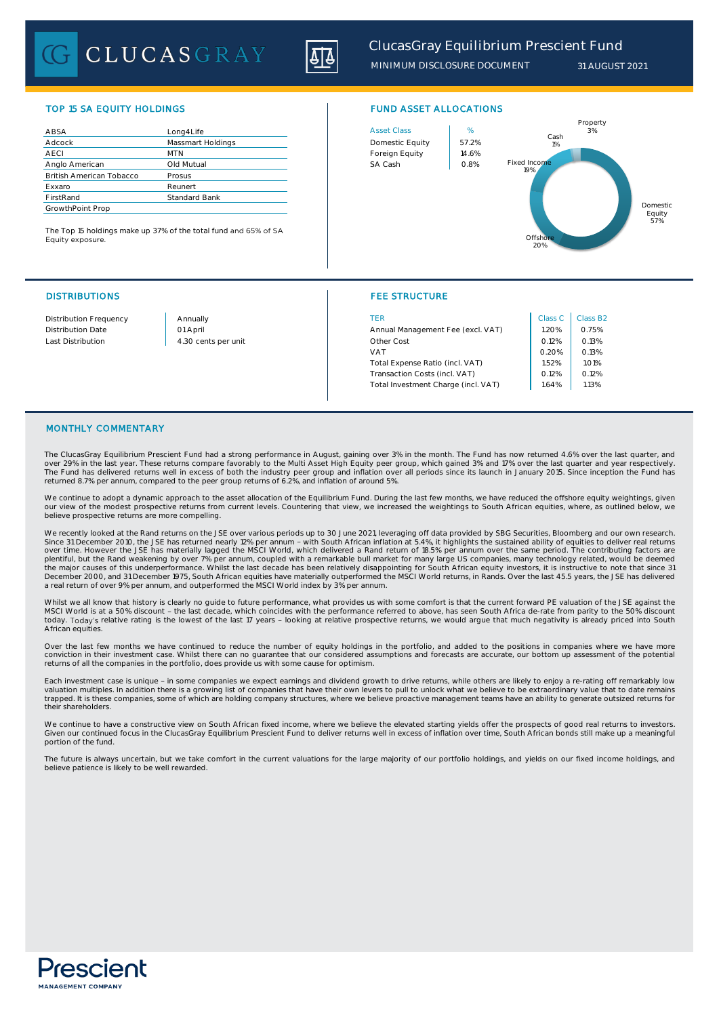# CLUCASGRAY



# TOP 15 SA EQUITY HOLDINGS FUND ASSET ALLOCATIONS

| ABSA                            | Lona4Life         | <b>Asset Class</b> | %     |
|---------------------------------|-------------------|--------------------|-------|
| Adcock                          | Massmart Holdings | Domestic Equity    | 57.2% |
| <b>AECI</b>                     | <b>MTN</b>        | Foreign Equity     | 14.6% |
| Anglo American                  | Old Mutual        | SA Cash            | 0.8%  |
| <b>British American Tobacco</b> | Prosus            |                    |       |
| Exxaro                          | Reunert           |                    |       |
| FirstRand                       | Standard Bank     |                    |       |
| GrowthPoint Prop                |                   |                    |       |

The Top 15 holdings make up 37% of the total fund and 65% of SA Equity exposure.

# DISTRIBUTIONS FEE STRUCTURE



| Distribution Frequency   | Annually            | TER                                 | Class C | Class B <sub>2</sub> |
|--------------------------|---------------------|-------------------------------------|---------|----------------------|
| <b>Distribution Date</b> | 01 April            | Annual Management Fee (excl. VAT)   | .20%    | 0.75%                |
| Last Distribution        | 4.30 cents per unit | Other Cost                          | 0.12%   |                      |
|                          |                     | VAT                                 |         | 0.13%                |
|                          |                     | Total Expense Ratio (incl. VAT)     | .52%    | 1.01%                |
|                          |                     | Transaction Costs (incl. VAT)       | 0.12%   | 0.12%                |
|                          |                     | Total Investment Charge (incl. VAT) | 1.64%   | 1.13%                |
|                          |                     |                                     |         |                      |

### MONTHLY COMMENTARY

The ClucasGray Equilibrium Prescient Fund had a strong performance in August, gaining over 3% in the month. The Fund has now returned 4.6% over the last quarter, and over 29% in the last year. These returns compare favorably to the Multi Asset High Equity peer group, which gained 3% and 17% over the last quarter and year respectively.<br>The Fund has delivered returns well in excess of bo returned 8.7% per annum, compared to the peer group returns of 6.2%, and inflation of around 5%.

We continue to adopt a dynamic approach to the asset allocation of the Equilibrium Fund. During the last few months, we have reduced the offshore equity weightings, given our view of the modest prospective returns from current levels. Countering that view, we increased the weightings to South African equities, where, as outlined below, we believe prospective returns are more compelling.

We recently looked at the Rand returns on the JSE over various periods up to 30 June 2021, leveraging off data provided by SBG Securities, Bloomberg and our own research<br>Since 31 December 2010, the JSE has returned nearly the major causes of this underperformance. Whilst the last decade has been relatively disappointing for South African equity investors, it is instructive to note that since 31<br>December 2000, and 31 December 1975, South Afr a real return of over 9% per annum, and outperformed the MSCI World index by 3% per annum.

Whilst we all know that history is clearly no guide to future performance, what provides us with some comfort is that the current forward PE valuation of the JSE against the MSCI World is at a 50% discount - the last decade, which coincides with the performance referred to above, has seen South Africa de-rate from parity to the 50% discount<br>today. Today's relative rating is the lowest of the l African equities

Over the last few months we have continued to reduce the number of equity holdings in the portfolio, and added to the positions in companies where we have more<br>conviction in their investment case. Whilst there can no guara returns of all the companies in the portfolio, does provide us with some cause for optimism.

Each investment case is unique - in some companies we expect earnings and dividend growth to drive returns, while others are likely to enjoy a re-rating off remarkably low valuation multiples. In addition there is a growing list of companies that have their own levers to pull to unlock what we believe to be extraordinary value that to date remains<br>trapped. It is these companies, some of whic their shareholders.

We continue to have a constructive view on South African fixed income, where we believe the elevated starting yields offer the prospects of good real returns to investors. Given our continued focus in the ClucasGray Equilibrium Prescient Fund to deliver returns well in excess of inflation over time, South African bonds still make up a meaningful portion of the fund.

The future is always uncertain, but we take comfort in the current valuations for the large majority of our portfolio holdings, and yields on our fixed income holdings, and believe patience is likely to be well rewarded.